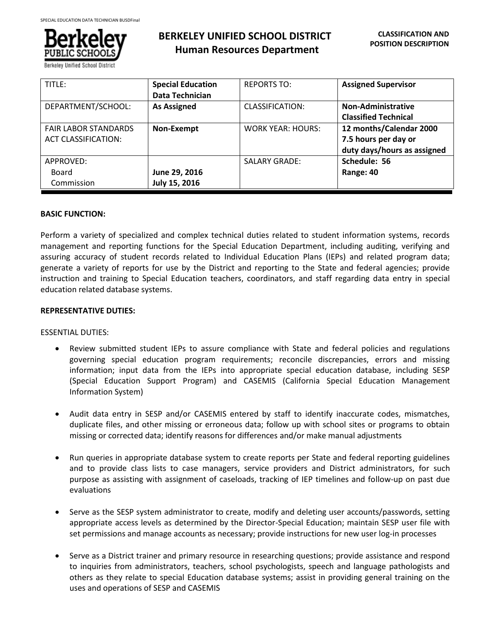

Berkeley Unified School Distr

# **BERKELEY UNIFIED SCHOOL DISTRICT Human Resources Department**

| TITLE:                                                    | <b>Special Education</b><br><b>Data Technician</b> | <b>REPORTS TO:</b>       | <b>Assigned Supervisor</b>                                                     |
|-----------------------------------------------------------|----------------------------------------------------|--------------------------|--------------------------------------------------------------------------------|
| DEPARTMENT/SCHOOL:                                        | <b>As Assigned</b>                                 | CLASSIFICATION:          | Non-Administrative<br><b>Classified Technical</b>                              |
| <b>FAIR LABOR STANDARDS</b><br><b>ACT CLASSIFICATION:</b> | Non-Exempt                                         | <b>WORK YEAR: HOURS:</b> | 12 months/Calendar 2000<br>7.5 hours per day or<br>duty days/hours as assigned |
| APPROVED:<br>Board<br>Commission                          | June 29, 2016<br>July 15, 2016                     | <b>SALARY GRADE:</b>     | Schedule: 56<br>Range: 40                                                      |

# **BASIC FUNCTION:**

Perform a variety of specialized and complex technical duties related to student information systems, records management and reporting functions for the Special Education Department, including auditing, verifying and assuring accuracy of student records related to Individual Education Plans (IEPs) and related program data; generate a variety of reports for use by the District and reporting to the State and federal agencies; provide instruction and training to Special Education teachers, coordinators, and staff regarding data entry in special education related database systems.

# **REPRESENTATIVE DUTIES:**

## ESSENTIAL DUTIES:

- Review submitted student IEPs to assure compliance with State and federal policies and regulations governing special education program requirements; reconcile discrepancies, errors and missing information; input data from the IEPs into appropriate special education database, including SESP (Special Education Support Program) and CASEMIS (California Special Education Management Information System)
- Audit data entry in SESP and/or CASEMIS entered by staff to identify inaccurate codes, mismatches, duplicate files, and other missing or erroneous data; follow up with school sites or programs to obtain missing or corrected data; identify reasons for differences and/or make manual adjustments
- Run queries in appropriate database system to create reports per State and federal reporting guidelines and to provide class lists to case managers, service providers and District administrators, for such purpose as assisting with assignment of caseloads, tracking of IEP timelines and follow-up on past due evaluations
- Serve as the SESP system administrator to create, modify and deleting user accounts/passwords, setting appropriate access levels as determined by the Director-Special Education; maintain SESP user file with set permissions and manage accounts as necessary; provide instructions for new user log-in processes
- Serve as a District trainer and primary resource in researching questions; provide assistance and respond to inquiries from administrators, teachers, school psychologists, speech and language pathologists and others as they relate to special Education database systems; assist in providing general training on the uses and operations of SESP and CASEMIS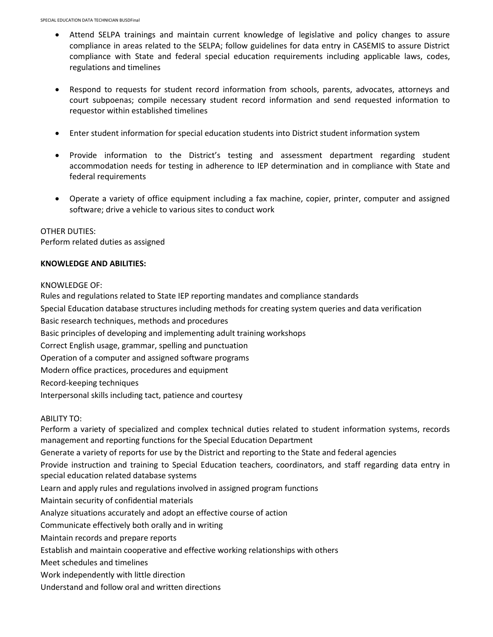- Attend SELPA trainings and maintain current knowledge of legislative and policy changes to assure compliance in areas related to the SELPA; follow guidelines for data entry in CASEMIS to assure District compliance with State and federal special education requirements including applicable laws, codes, regulations and timelines
- Respond to requests for student record information from schools, parents, advocates, attorneys and court subpoenas; compile necessary student record information and send requested information to requestor within established timelines
- Enter student information for special education students into District student information system
- Provide information to the District's testing and assessment department regarding student accommodation needs for testing in adherence to IEP determination and in compliance with State and federal requirements
- Operate a variety of office equipment including a fax machine, copier, printer, computer and assigned software; drive a vehicle to various sites to conduct work

## OTHER DUTIES:

Perform related duties as assigned

#### **KNOWLEDGE AND ABILITIES:**

#### KNOWLEDGE OF:

Rules and regulations related to State IEP reporting mandates and compliance standards Special Education database structures including methods for creating system queries and data verification Basic research techniques, methods and procedures Basic principles of developing and implementing adult training workshops Correct English usage, grammar, spelling and punctuation Operation of a computer and assigned software programs Modern office practices, procedures and equipment Record-keeping techniques Interpersonal skills including tact, patience and courtesy ABILITY TO: Perform a variety of specialized and complex technical duties related to student information systems, records management and reporting functions for the Special Education Department Generate a variety of reports for use by the District and reporting to the State and federal agencies Provide instruction and training to Special Education teachers, coordinators, and staff regarding data entry in special education related database systems Learn and apply rules and regulations involved in assigned program functions Maintain security of confidential materials Analyze situations accurately and adopt an effective course of action

Communicate effectively both orally and in writing

Maintain records and prepare reports

Establish and maintain cooperative and effective working relationships with others

Meet schedules and timelines

Work independently with little direction

Understand and follow oral and written directions